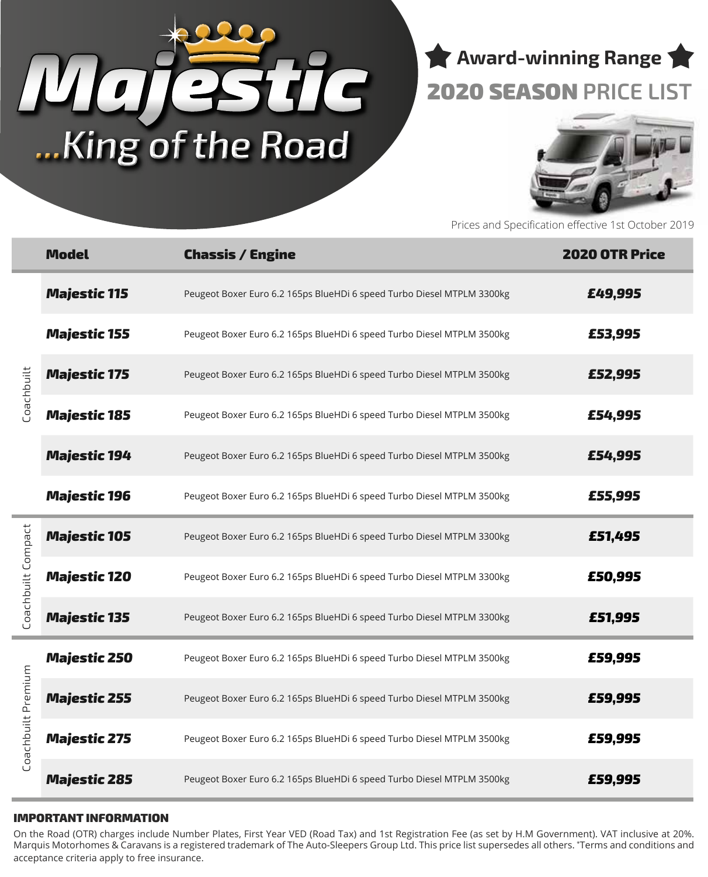# *Majestic* **...King of the Road**

**Award-winning Range** 2020 SEASON **PRICE LIST**



Prices and Specification effective 1st October 2019

|                              | <b>Model</b>        | <b>Chassis / Engine</b>                                                | <b>2020 OTR Price</b> |
|------------------------------|---------------------|------------------------------------------------------------------------|-----------------------|
| <b>Coachbuilt</b>            | <b>Majestic 115</b> | Peugeot Boxer Euro 6.2 165ps BlueHDi 6 speed Turbo Diesel MTPLM 3300kg | £49,995               |
|                              | <b>Majestic 155</b> | Peugeot Boxer Euro 6.2 165ps BlueHDi 6 speed Turbo Diesel MTPLM 3500kg | £53,995               |
|                              | <b>Majestic 175</b> | Peugeot Boxer Euro 6.2 165ps BlueHDi 6 speed Turbo Diesel MTPLM 3500kg | £52,995               |
|                              | <b>Majestic 185</b> | Peugeot Boxer Euro 6.2 165ps BlueHDi 6 speed Turbo Diesel MTPLM 3500kg | £54,995               |
|                              | <b>Majestic 194</b> | Peugeot Boxer Euro 6.2 165ps BlueHDi 6 speed Turbo Diesel MTPLM 3500kg | £54,995               |
|                              | <b>Majestic 196</b> | Peugeot Boxer Euro 6.2 165ps BlueHDi 6 speed Turbo Diesel MTPLM 3500kg | £55,995               |
| Compact<br><b>Coachbuilt</b> | <b>Majestic 105</b> | Peugeot Boxer Euro 6.2 165ps BlueHDi 6 speed Turbo Diesel MTPLM 3300kg | £51,495               |
|                              | <b>Majestic 120</b> | Peugeot Boxer Euro 6.2 165ps BlueHDi 6 speed Turbo Diesel MTPLM 3300kg | £50,995               |
|                              | <b>Majestic 135</b> | Peugeot Boxer Euro 6.2 165ps BlueHDi 6 speed Turbo Diesel MTPLM 3300kg | £51,995               |
| Coachbuilt Premium           | <b>Majestic 250</b> | Peugeot Boxer Euro 6.2 165ps BlueHDi 6 speed Turbo Diesel MTPLM 3500kg | £59,995               |
|                              | <b>Majestic 255</b> | Peugeot Boxer Euro 6.2 165ps BlueHDi 6 speed Turbo Diesel MTPLM 3500kg | £59,995               |
|                              | <b>Majestic 275</b> | Peugeot Boxer Euro 6.2 165ps BlueHDi 6 speed Turbo Diesel MTPLM 3500kg | £59,995               |
|                              | <b>Majestic 285</b> | Peugeot Boxer Euro 6.2 165ps BlueHDi 6 speed Turbo Diesel MTPLM 3500kg | £59,995               |

#### IMPORTANT INFORMATION

On the Road (OTR) charges include Number Plates, First Year VED (Road Tax) and 1st Registration Fee (as set by H.M Government). VAT inclusive at 20%. Marquis Motorhomes & Caravans is a registered trademark of The Auto-Sleepers Group Ltd. This price list supersedes all others. \* Terms and conditions and acceptance criteria apply to free insurance.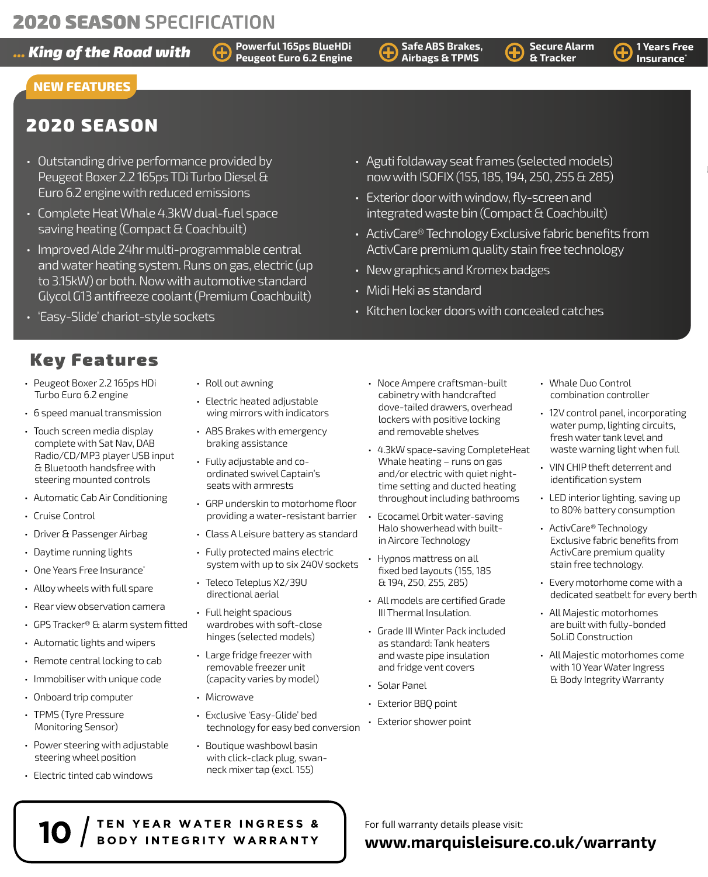*Ring of the Road with* $\bigoplus_{\text{Powers of Figure}}^{\text{Powerful 165ps BlueHDi}}$  **airhags BTakes,**  $\bigoplus_{\text{B Tracker}}^{\text{Secure Alarm}}$  **1 Years Free** 

**Powerful 165ps BlueHDi** 

**Safe ABS Brakes, Airbags & TPMS**

**Insurance\***

**Secure Alarm & Tracker**

## **NEW FEATURES**

## 2020 SEASON

- Outstanding drive performance provided by Peugeot Boxer 2.2 165ps TDi Turbo Diesel & Euro 6.2 engine with reduced emissions
- Complete Heat Whale 4.3kW dual-fuel space saving heating (Compact & Coachbuilt)
- Improved Alde 24hr multi-programmable central and water heating system. Runs on gas, electric (up to 3.15kW) or both. Now with automotive standard Glycol G13 antifreeze coolant (Premium Coachbuilt)
- 'Easy-Slide' chariot-style sockets
- Key Features
- Peugeot Boxer 2.2 165ps HDi Turbo Euro 6.2 engine
- 6 speed manual transmission
- Touch screen media display complete with Sat Nav, DAB Radio/CD/MP3 player USB input & Bluetooth handsfree with steering mounted controls
- Automatic Cab Air Conditioning
- Cruise Control
- Driver & Passenger Airbag
- Daytime running lights
- One Years Free Insurance<sup>®</sup>
- Alloy wheels with full spare
- Rear view observation camera
- GPS Tracker® & alarm system fitted
- Automatic lights and wipers
- Remote central locking to cab
- Immobiliser with unique code
- Onboard trip computer
- TPMS (Tyre Pressure Monitoring Sensor)
- Power steering with adjustable steering wheel position
- Electric tinted cab windows
- Roll out awning
- Electric heated adjustable wing mirrors with indicators
- ABS Brakes with emergency braking assistance
- Fully adjustable and coordinated swivel Captain's seats with armrests
- GRP underskin to motorhome floor providing a water-resistant barrier
- Class A Leisure battery as standard
- Fully protected mains electric system with up to six 240V sockets
- Teleco Teleplus X2/39U directional aerial
- Full height spacious wardrobes with soft-close hinges (selected models)
- Large fridge freezer with removable freezer unit (capacity varies by model)
- Microwave

TEN YEAR WATER INGRESS & BODY INTEGRITY WARRANTY

- Exclusive 'Easy-Glide' bed technology for easy bed conversion
- Boutique washbowl basin with click-clack plug, swanneck mixer tap (excl. 155)
- ActivCare premium quality stain free technology • New graphics and Kromex badges • Midi Heki as standard
- Kitchen locker doors with concealed catches

• Aguti foldaway seat frames (selected models) now with ISOFIX (155, 185, 194, 250, 255 & 285)

• ActivCare® Technology Exclusive fabric benefits from

• Exterior door with window, fly-screen and integrated waste bin (Compact & Coachbuilt)

- Noce Ampere craftsman-built cabinetry with handcrafted dove-tailed drawers, overhead lockers with positive locking and removable shelves
- 4.3kW space-saving CompleteHeat Whale heating – runs on gas and/or electric with quiet nighttime setting and ducted heating throughout including bathrooms
- Ecocamel Orbit water-saving Halo showerhead with builtin Aircore Technology
- Hypnos mattress on all fixed bed layouts (155, 185 & 194, 250, 255, 285)
- All models are certified Grade III Thermal Insulation.
- Grade III Winter Pack included as standard: Tank heaters and waste pipe insulation and fridge vent covers
- Solar Panel
- Exterior BBQ point
- Exterior shower point
- Whale Duo Control combination controller
- 12V control panel, incorporating water pump, lighting circuits, fresh water tank level and waste warning light when full
- VIN CHIP theft deterrent and identification system
- LED interior lighting, saving up to 80% battery consumption
- ActivCare® Technology Exclusive fabric benefits from ActivCare premium quality stain free technology.
- Every motorhome come with a dedicated seatbelt for every berth
- All Majestic motorhomes are built with fully-bonded SoLiD Construction
- All Majestic motorhomes come with 10 Year Water Ingress & Body Integrity Warranty

For full warranty details please visit:

## **www.marquisleisure.co.uk/warranty**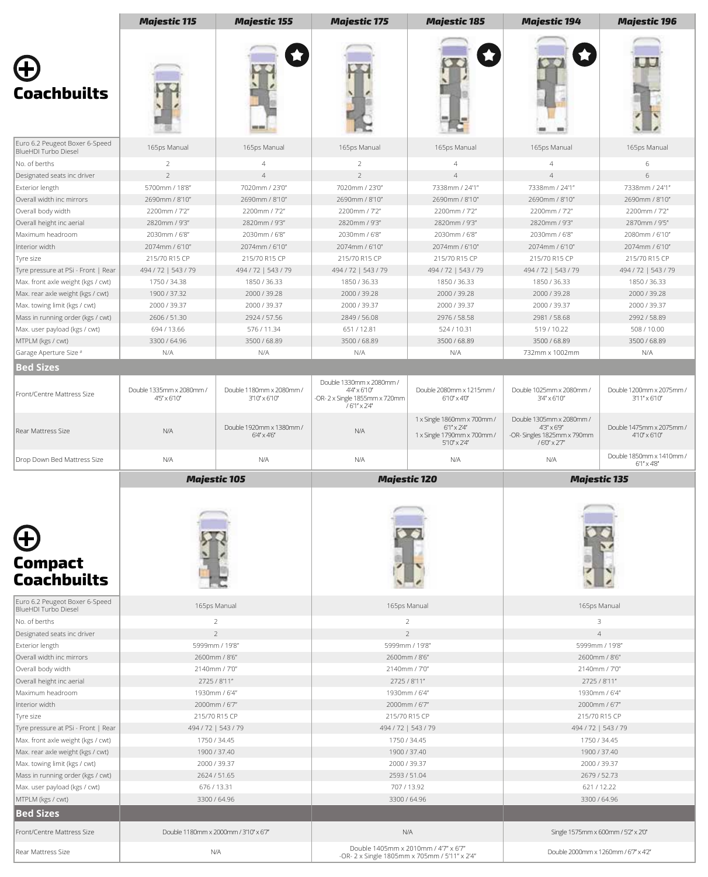|                                                                    | <b>Majestic 115</b>                             | <b>Majestic 155</b>                                | <b>Majestic 175</b>                                                                                | <b>Majestic 185</b>                                                                                         | <b>Majestic 194</b>                                                                          | <b>Majestic 196</b>                              |
|--------------------------------------------------------------------|-------------------------------------------------|----------------------------------------------------|----------------------------------------------------------------------------------------------------|-------------------------------------------------------------------------------------------------------------|----------------------------------------------------------------------------------------------|--------------------------------------------------|
|                                                                    |                                                 |                                                    |                                                                                                    |                                                                                                             |                                                                                              |                                                  |
| <b>Coachbuilts</b>                                                 |                                                 |                                                    |                                                                                                    |                                                                                                             |                                                                                              |                                                  |
| Euro 6.2 Peugeot Boxer 6-Speed<br>BlueHDI Turbo Diesel             | 165ps Manual                                    | 165ps Manual                                       | 165ps Manual                                                                                       | 165ps Manual                                                                                                | 165ps Manual                                                                                 | 165ps Manual                                     |
| No. of berths                                                      | $\overline{2}$                                  | $\overline{4}$                                     | $\overline{2}$                                                                                     | $\overline{4}$                                                                                              | $\overline{4}$                                                                               | 6                                                |
| Designated seats inc driver                                        | $\overline{2}$                                  | $\overline{4}$                                     | $\overline{2}$                                                                                     | $\overline{4}$                                                                                              | $\overline{4}$                                                                               | 6                                                |
| Exterior length                                                    | 5700mm / 18'8"                                  | 7020mm / 23'0"                                     | 7020mm / 23'0"                                                                                     | 7338mm / 24'1"                                                                                              | 7338mm / 24'1"                                                                               | 7338mm / 24'1"                                   |
| Overall width inc mirrors                                          | 2690mm / 8'10"                                  | 2690mm / 8'10"                                     | 2690mm / 8'10"                                                                                     | 2690mm / 8'10"                                                                                              | 2690mm / 8'10"                                                                               | 2690mm / 8'10"                                   |
| Overall body width                                                 | 2200mm / 7'2"                                   | 2200mm / 7'2"                                      | 2200mm / 7'2"                                                                                      | 2200mm / 7'2"                                                                                               | 2200mm / 7'2"                                                                                | 2200mm / 7'2"                                    |
| Overall height inc aerial                                          | 2820mm / 9'3"                                   | 2820mm / 9'3"                                      | 2820mm / 9'3"                                                                                      | 2820mm / 9'3"                                                                                               | 2820mm / 9'3"                                                                                | 2870mm / 9'5"                                    |
| Maximum headroom                                                   | 2030mm / 6'8"                                   | 2030mm / 6'8"                                      | 2030mm / 6'8"                                                                                      | 2030mm / 6'8"                                                                                               | 2030mm / 6'8"                                                                                | 2080mm / 6'10"                                   |
| Interior width                                                     | 2074mm / 6'10"                                  | 2074mm / 6'10"                                     | 2074mm / 6'10"                                                                                     | 2074mm / 6'10"                                                                                              | 2074mm / 6'10"                                                                               | 2074mm / 6'10"                                   |
| Tyre size                                                          | 215/70 R15 CP                                   | 215/70 R15 CP                                      | 215/70 R15 CP                                                                                      | 215/70 R15 CP                                                                                               | 215/70 R15 CP                                                                                | 215/70 R15 CP                                    |
| Tyre pressure at PSi - Front   Rear                                | 494 / 72   543 / 79                             | 494 / 72   543 / 79                                | 494 / 72   543 / 79                                                                                | 494 / 72   543 / 79                                                                                         | 494 / 72   543 / 79                                                                          | 494 / 72   543 / 79                              |
| Max. front axle weight (kgs / cwt)                                 | 1750 / 34.38                                    | 1850 / 36.33<br>2000 / 39.28                       | 1850 / 36.33                                                                                       | 1850 / 36.33<br>2000 / 39.28                                                                                | 1850 / 36.33                                                                                 | 1850 / 36.33                                     |
| Max. rear axle weight (kgs / cwt)<br>Max. towing limit (kgs / cwt) | 1900 / 37.32<br>2000 / 39.37                    | 2000 / 39.37                                       | 2000 / 39.28<br>2000 / 39.37                                                                       | 2000 / 39.37                                                                                                | 2000 / 39.28<br>2000 / 39.37                                                                 | 2000 / 39.28<br>2000 / 39.37                     |
| Mass in running order (kgs / cwt)                                  | 2606 / 51.30                                    | 2924 / 57.56                                       | 2849 / 56.08                                                                                       | 2976 / 58.58                                                                                                | 2981 / 58.68                                                                                 | 2992 / 58.89                                     |
| Max. user payload (kgs / cwt)                                      | 694 / 13.66                                     | 576 / 11.34                                        | 651 / 12.81                                                                                        | 524/10.31                                                                                                   | 519/10.22                                                                                    | 508/10.00                                        |
| MTPLM (kgs / cwt)                                                  | 3300 / 64.96                                    | 3500 / 68.89                                       | 3500 / 68.89                                                                                       | 3500 / 68.89                                                                                                | 3500 / 68.89                                                                                 | 3500 / 68.89                                     |
| Garage Aperture Size #                                             | N/A                                             | N/A                                                | N/A                                                                                                | N/A                                                                                                         | 732mm x 1002mm                                                                               | N/A                                              |
| <b>Bed Sizes</b>                                                   |                                                 |                                                    |                                                                                                    |                                                                                                             |                                                                                              |                                                  |
|                                                                    |                                                 |                                                    |                                                                                                    |                                                                                                             |                                                                                              |                                                  |
| Front/Centre Mattress Size                                         | Double 1335mm x 2080mm /<br>$4'5' \times 6'10'$ | Double 1180mm x 2080mm /<br>$3'10'' \times 6'10''$ | Double 1330mm x 2080mm /<br>$4'4'' \times 6'10''$<br>-OR-2 x Single 1855mm x 720mm<br>/6'1" x 2'4" | Double 2080mm x 1215mm /<br>$6'10'' \times 4'0''$                                                           | Double 1025mm x 2080mm /<br>$3'4'' \times 6'10''$                                            | Double 1200mm x 2075mm /<br>3'11" x 6'10"        |
| Rear Mattress Size                                                 | N/A                                             | Double 1920mm x 1380mm /<br>$6'4' \times 4'6'$     | N/A                                                                                                | 1 x Single 1860mm x 700mm /<br>$6'1'' \times 2'4''$<br>1 x Single 1790mm x 700mm /<br>$5'10'' \times 2'4''$ | Double 1305mm x 2080mm /<br>$43'' \times 69''$<br>-OR- Singles 1825mm x 790mm<br>/6'0" x 27" | Double 1475mm x 2075mm /<br>4'10" x 6'10"        |
| Drop Down Bed Mattress Size                                        | N/A                                             | N/A                                                | N/A                                                                                                | N/A                                                                                                         | N/A                                                                                          | Double 1850mm x 1410mm /<br>$6'1'' \times 4'8''$ |
|                                                                    | <b>Majestic 105</b>                             |                                                    | <b>Majestic 120</b>                                                                                |                                                                                                             | <b>Majestic 135</b>                                                                          |                                                  |
| <b>Compact</b><br><b>Coachbuilts</b>                               |                                                 |                                                    |                                                                                                    |                                                                                                             |                                                                                              |                                                  |
| Euro 6.2 Peugeot Boxer 6-Speed<br><b>BlueHDI Turbo Diesel</b>      |                                                 | 165ps Manual                                       | 165ps Manual                                                                                       |                                                                                                             |                                                                                              | 165ps Manual                                     |
| No. of berths<br>Designated seats inc driver                       |                                                 | 2<br>$\overline{2}$                                |                                                                                                    | $\overline{2}$<br>$\overline{2}$                                                                            | $\overline{4}$                                                                               | 3                                                |
| Exterior length                                                    |                                                 | 5999mm / 19'8"                                     | 5999mm / 19'8"                                                                                     |                                                                                                             | 5999mm / 19'8"                                                                               |                                                  |
| Overall width inc mirrors                                          |                                                 | 2600mm / 8'6"                                      |                                                                                                    | 2600mm / 8'6"                                                                                               | 2600mm / 8'6"                                                                                |                                                  |
| Overall body width                                                 |                                                 | 2140mm / 7'0"                                      |                                                                                                    | 2140mm / 7'0"                                                                                               |                                                                                              | 2140mm / 7'0"                                    |
| Overall height inc aerial                                          |                                                 | 2725 / 8'11"                                       |                                                                                                    | 2725 / 8'11"                                                                                                | 2725 / 8'11"                                                                                 |                                                  |
| Maximum headroom                                                   |                                                 | 1930mm / 6'4"                                      | 1930mm / 6'4"                                                                                      |                                                                                                             |                                                                                              | 1930mm / 6'4"                                    |
| Interior width                                                     |                                                 | 2000mm / 6'7"                                      |                                                                                                    | 2000mm / 6'7"                                                                                               | 2000mm / 6'7"                                                                                |                                                  |
| Tyre size                                                          |                                                 | 215/70 R15 CP                                      |                                                                                                    | 215/70 R15 CP                                                                                               | 215/70 R15 CP                                                                                |                                                  |
| Tyre pressure at PSi - Front   Rear                                |                                                 | 494 / 72   543 / 79                                |                                                                                                    | 494 / 72   543 / 79                                                                                         | 494 / 72   543 / 79                                                                          |                                                  |
| Max. front axle weight (kgs / cwt)                                 |                                                 | 1750 / 34.45                                       | 1750 / 34.45                                                                                       |                                                                                                             |                                                                                              | 1750 / 34.45                                     |
| Max. rear axle weight (kgs / cwt)                                  |                                                 | 1900 / 37.40                                       | 1900 / 37.40                                                                                       |                                                                                                             |                                                                                              | 1900 / 37.40                                     |
| Max. towing limit (kgs / cwt)                                      |                                                 |                                                    |                                                                                                    |                                                                                                             |                                                                                              | 2000 / 39.37                                     |
|                                                                    |                                                 | 2000 / 39.37                                       | 2000 / 39.37                                                                                       |                                                                                                             |                                                                                              |                                                  |
| Mass in running order (kgs / cwt)                                  |                                                 | 2624 / 51.65                                       |                                                                                                    | 2593 / 51.04                                                                                                |                                                                                              | 2679 / 52.73                                     |
| Max. user payload (kgs / cwt)                                      |                                                 | 676 / 13.31                                        |                                                                                                    | 707/13.92                                                                                                   | 621/12.22                                                                                    |                                                  |
| MTPLM (kgs / cwt)                                                  |                                                 | 3300 / 64.96                                       | 3300 / 64.96                                                                                       |                                                                                                             |                                                                                              | 3300 / 64.96                                     |
| <b>Bed Sizes</b>                                                   |                                                 |                                                    |                                                                                                    |                                                                                                             |                                                                                              |                                                  |
| Front/Centre Mattress Size                                         |                                                 | Double 1180mm x 2000mm / 3'10" x 67"               |                                                                                                    | N/A                                                                                                         | Single 1575mm x 600mm / 5'2" x 2'0"                                                          |                                                  |